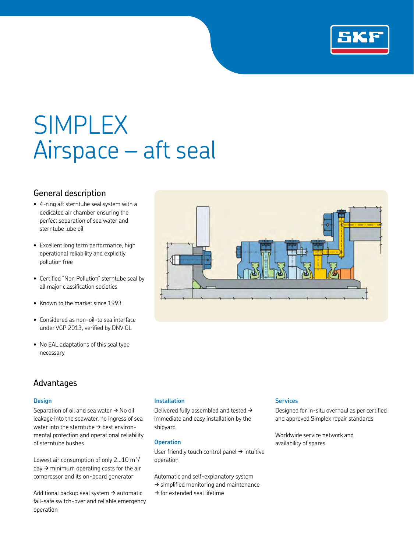

# SIMPLEX Airspace – aft seal

## General description

- 4-ring aft sterntube seal system with a dedicated air chamber ensuring the perfect separation of sea water and sterntube lube oil
- Excellent long term performance, high operational reliability and explicitly pollution free
- Certified "Non Pollution" sterntube seal by all major classification societies
- Known to the market since 1993
- Considered as non-oil-to sea interface under VGP 2013, verified by DNV GL
- No EAL adaptations of this seal type necessary

## Advantages

### **Design**

Separation of oil and sea water  $\rightarrow$  No oil leakage into the seawater, no ingress of sea water into the sterntube  $\rightarrow$  best environmental protection and operational reliability of sterntube bushes

Lowest air consumption of only  $2...10$  m<sup>3</sup>/  $day \rightarrow$  minimum operating costs for the air compressor and its on-board generator

Additional backup seal system  $\rightarrow$  automatic fail-safe switch-over and reliable emergency operation

### **Installation**

Delivered fully assembled and tested  $\rightarrow$ immediate and easy installation by the shipyard

#### **Operation**

User friendly touch control panel  $\rightarrow$  intuitive operation

Automatic and self-explanatory system

- $\rightarrow$  simplified monitoring and maintenance
- $\rightarrow$  for extended seal lifetime

#### **Services**

Designed for in-situ overhaul as per certified and approved Simplex repair standards

Worldwide service network and availability of spares